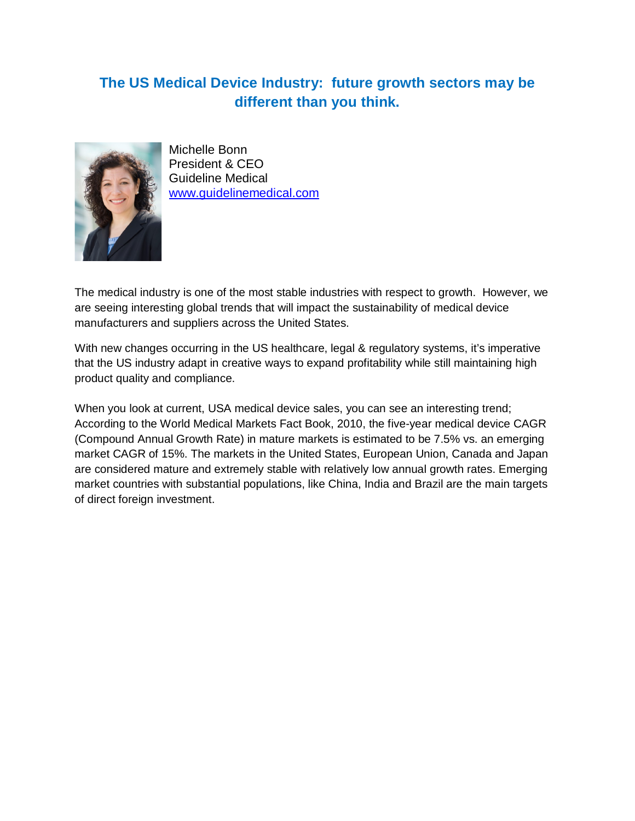## **The US Medical Device Industry: future growth sectors may be different than you think.**



Michelle Bonn President & CEO Guideline Medical [www.guidelinemedical.com](http://www.guidelinemedical.com/)

The medical industry is one of the most stable industries with respect to growth. However, we are seeing interesting global trends that will impact the sustainability of medical device manufacturers and suppliers across the United States.

With new changes occurring in the US healthcare, legal & regulatory systems, it's imperative that the US industry adapt in creative ways to expand profitability while still maintaining high product quality and compliance.

When you look at current, USA medical device sales, you can see an interesting trend; According to the World Medical Markets Fact Book, 2010, the five-year medical device CAGR (Compound Annual Growth Rate) in mature markets is estimated to be 7.5% vs. an emerging market CAGR of 15%. The markets in the United States, European Union, Canada and Japan are considered mature and extremely stable with relatively low annual growth rates. Emerging market countries with substantial populations, like China, India and Brazil are the main targets of direct foreign investment.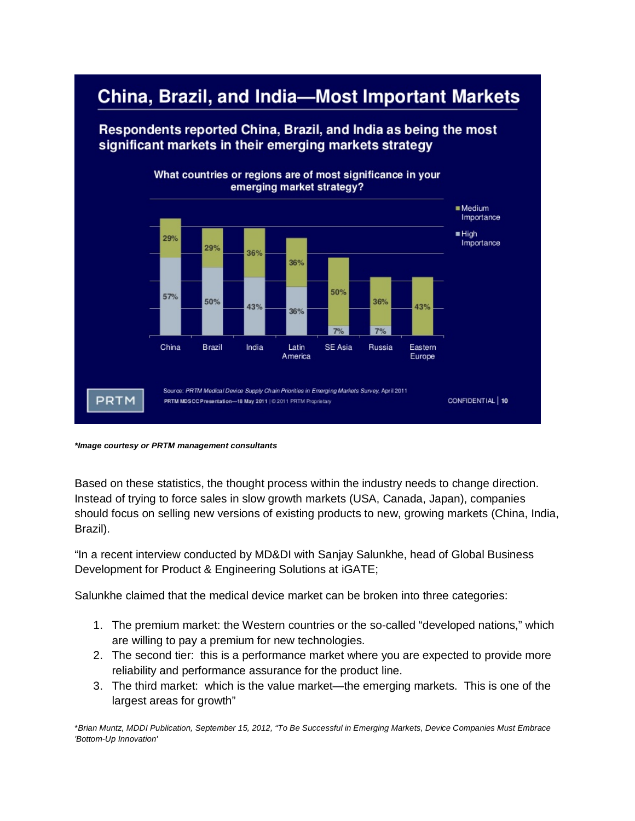

## *\*Image courtesy or PRTM management consultants*

Based on these statistics, the thought process within the industry needs to change direction. Instead of trying to force sales in slow growth markets (USA, Canada, Japan), companies should focus on selling new versions of existing products to new, growing markets (China, India, Brazil).

"In a recent interview conducted by MD&DI with [Sanjay Salunkhe,](http://www.qmed.com/mpmn/medtechpulse/execs-weigh-balancing-risks-and-rewards-medtech-globalization) head of Global Business Development for Product & Engineering Solutions at iGATE;

Salunkhe claimed that the medical device market can be broken into three categories:

- 1. The premium market: the Western countries or the so-called "developed nations," which are willing to pay a premium for new technologies.
- 2. The second tier: this is a performance market where you are expected to provide more reliability and performance assurance for the product line.
- 3. The third market: which is the value market—the emerging markets. This is one of the largest areas for growth"

\**Brian Muntz, MDDI Publication, September 15, 2012, "To Be Successful in Emerging Markets, Device Companies Must Embrace 'Bottom-Up Innovation'*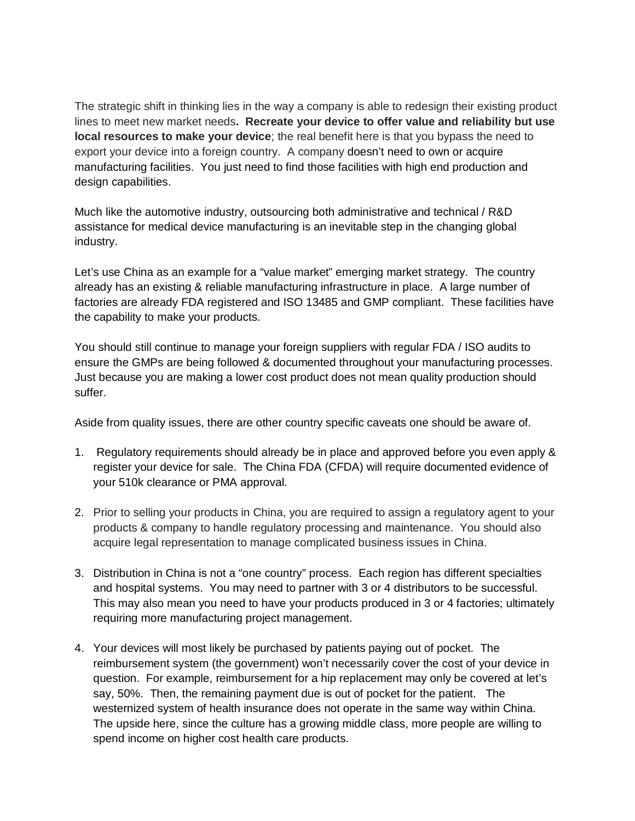The strategic shift in thinking lies in the way a company is able to redesign their existing product lines to meet new market needs**. Recreate your device to offer value and reliability but use local resources to make your device**; the real benefit here is that you bypass the need to export your device into a foreign country. A company doesn't need to own or acquire manufacturing facilities. You just need to find those facilities with high end production and design capabilities.

Much like the automotive industry, outsourcing both administrative and technical / R&D assistance for medical device manufacturing is an inevitable step in the changing global industry.

Let's use China as an example for a "value market" emerging market strategy. The country already has an existing & reliable manufacturing infrastructure in place. A large number of factories are already FDA registered and ISO 13485 and GMP compliant. These facilities have the capability to make your products.

You should still continue to manage your foreign suppliers with regular FDA / ISO audits to ensure the GMPs are being followed & documented throughout your manufacturing processes. Just because you are making a lower cost product does not mean quality production should suffer.

Aside from quality issues, there are other country specific caveats one should be aware of.

- 1. Regulatory requirements should already be in place and approved before you even apply & register your device for sale. The China FDA (CFDA) will require documented evidence of your 510k clearance or PMA approval.
- 2. Prior to selling your products in China, you are required to assign a regulatory agent to your products & company to handle regulatory processing and maintenance. You should also acquire legal representation to manage complicated business issues in China.
- 3. Distribution in China is not a "one country" process. Each region has different specialties and hospital systems. You may need to partner with 3 or 4 distributors to be successful. This may also mean you need to have your products produced in 3 or 4 factories; ultimately requiring more manufacturing project management.
- 4. Your devices will most likely be purchased by patients paying out of pocket. The reimbursement system (the government) won't necessarily cover the cost of your device in question. For example, reimbursement for a hip replacement may only be covered at let's say, 50%. Then, the remaining payment due is out of pocket for the patient. The westernized system of health insurance does not operate in the same way within China. The upside here, since the culture has a growing middle class, more people are willing to spend income on higher cost health care products.